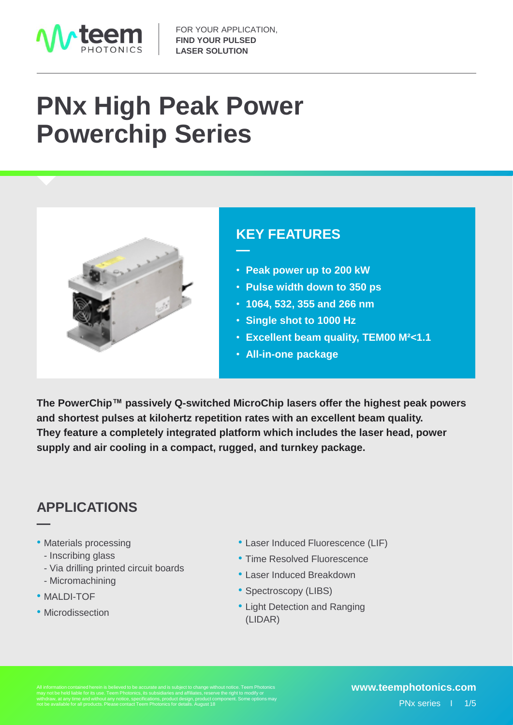

# **PNx High Peak Power Powerchip Series**



### **KEY FEATURES**

- **Peak power up to 200 kW**
- **Pulse width down to 350 ps**
- **1064, 532, 355 and 266 nm**
- **Single shot to 1000 Hz**
- **Excellent beam quality, TEM00 M²<1.1**
- **All-in-one package**

**The PowerChip™ passively Q-switched MicroChip lasers offer the highest peak powers and shortest pulses at kilohertz repetition rates with an excellent beam quality. They feature a completely integrated platform which includes the laser head, power supply and air cooling in a compact, rugged, and turnkey package.**

**—**

### **APPLICATIONS**

- Materials processing
	- Inscribing glass
	- Via drilling printed circuit boards
	- Micromachining
- MALDI-TOF

**—**

• Microdissection

- Laser Induced Fluorescence (LIF)
- Time Resolved Fluorescence
- Laser Induced Breakdown
- Spectroscopy (LIBS)
- Light Detection and Ranging (LIDAR)

may not be held liable for its use. Teem Photonics, its subsidiaries and affiliates, reserve the right to modify or withdraw, at any time and without any notice, specifications, product design, product component. Some options may not be available for all products. Please contact Teem Photonics for details. August 18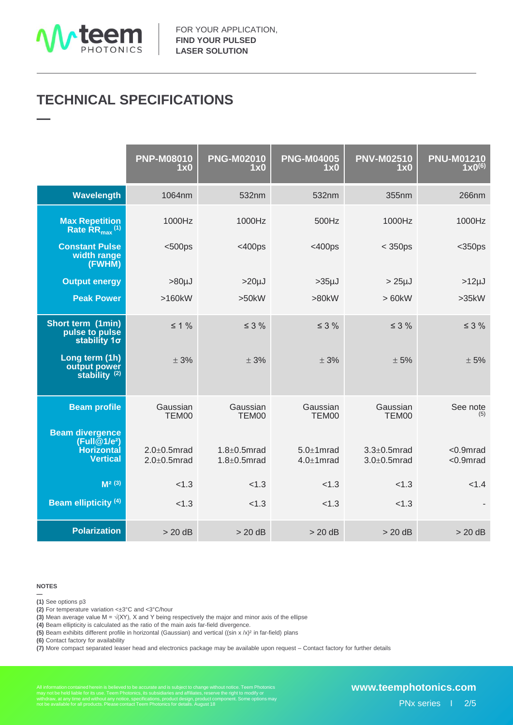

**—**

## **TECHNICAL SPECIFICATIONS**

|                                                                                  | <b>PNP-M08010</b><br>1x0                 | <b>PNG-M02010</b><br>1x0                 | <b>PNG-M04005</b><br>1x0             | <b>PNV-M02510</b><br>1x0                 | <b>PNU-M01210</b><br>$1 \times 0^{(6)}$ |
|----------------------------------------------------------------------------------|------------------------------------------|------------------------------------------|--------------------------------------|------------------------------------------|-----------------------------------------|
| Wavelength                                                                       | 1064nm                                   | 532nm                                    | 532nm                                | 355nm                                    | 266nm                                   |
| <b>Max Repetition</b><br>Rate $\overline{\text{RR}}_{\text{max}}$ <sup>(1)</sup> | 1000Hz                                   | 1000Hz                                   | 500Hz                                | 1000Hz                                   | 1000Hz                                  |
| <b>Constant Pulse</b><br>width range<br>(FWHM)                                   | $500ps$                                  | $<$ 400ps                                | $<$ 400ps                            | $<$ 350ps                                | $<$ 350ps                               |
| <b>Output energy</b>                                                             | $>80 \mu J$                              | $>20 \mu J$                              | $>35µ$ J                             | $>25\mu$ J                               | $>12 \mu J$                             |
| <b>Peak Power</b>                                                                | >160kW                                   | >50kW                                    | >80kW                                | >60kW                                    | >35kW                                   |
| Short term (1min)<br>pulse to pulse<br>stability $1\sigma$                       | $\leq 1\%$                               | $\leq$ 3 %                               | $\leq$ 3 %                           | $\leq$ 3 %                               | $\leq$ 3 %                              |
| Long term (1h)<br>output power<br>stability <sup>(2)</sup>                       | ± 3%                                     | ± 3%                                     | ± 3%                                 | ± 5%                                     | ± 5%                                    |
| <b>Beam profile</b><br><b>Beam divergence</b>                                    | Gaussian<br>TEM00                        | Gaussian<br>TEM00                        | Gaussian<br>TEM00                    | Gaussian<br>TEM00                        | See note<br>(5)                         |
| (Full@1/e <sup>2</sup> )<br>Horizontal<br><b>Vertical</b>                        | $2.0 \pm 0.5$ mrad<br>$2.0 \pm 0.5$ mrad | $1.8 \pm 0.5$ mrad<br>$1.8 \pm 0.5$ mrad | $5.0 \pm 1$ mrad<br>$4.0 \pm 1$ mrad | $3.3 \pm 0.5$ mrad<br>$3.0 \pm 0.5$ mrad | $< 0.9$ mrad<br><0.9mrad                |
| $M2$ (3)                                                                         | < 1.3                                    | < 1.3                                    | < 1.3                                | < 1.3                                    | < 1.4                                   |
| <b>Beam ellipticity (4)</b>                                                      | < 1.3                                    | < 1.3                                    | < 1.3                                | < 1.3                                    |                                         |
| <b>Polarization</b>                                                              | $> 20$ dB                                | $> 20$ dB                                | $> 20$ dB                            | $> 20$ dB                                | $> 20$ dB                               |

#### **NOTES**

**— (1)** See options p3

**(2)** For temperature variation <±3°C and <3°C/hour

**(3)** Mean average value M =  $\sqrt{(XY)}$ , X and Y being respectively the major and minor axis of the ellipse

**(4)** Beam ellipticity is calculated as the ratio of the main axis far-field divergence.

**(5)** Beam exhibits different profile in horizontal (Gaussian) and vertical ((sin x /x)² in far-field) plans

**(6)** Contact factory for availability

**(7)** More compact separated leaser head and electronics package may be available upon request – Contact factory for further details

All information contained herein is believed to be accurate and is subject to change without notice. Teem Photonics<br>may not be held liable for its use. Teem Photonics, its subsidiaries and affiliates, reserve the right to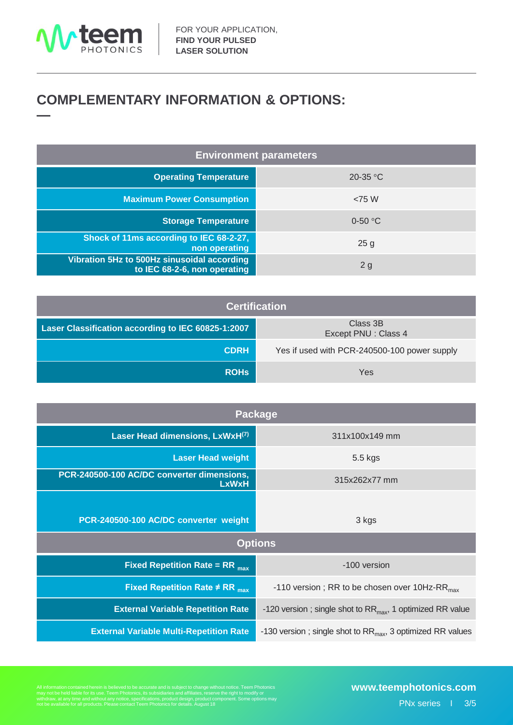

### **COMPLEMENTARY INFORMATION & OPTIONS: —**

| <b>Environment parameters</b>                                               |                 |  |  |  |
|-----------------------------------------------------------------------------|-----------------|--|--|--|
| <b>Operating Temperature</b>                                                | 20-35 °C        |  |  |  |
| <b>Maximum Power Consumption</b>                                            | < 75 W          |  |  |  |
| <b>Storage Temperature</b>                                                  | $0-50$ °C       |  |  |  |
| Shock of 11ms according to IEC 68-2-27,<br>non operating                    | 25 <sub>g</sub> |  |  |  |
| Vibration 5Hz to 500Hz sinusoidal according<br>to IEC 68-2-6, non operating | 2g              |  |  |  |

| <b>Certification</b>                               |                                              |  |  |  |
|----------------------------------------------------|----------------------------------------------|--|--|--|
| Laser Classification according to IEC 60825-1:2007 | Class 3B<br>Except PNU: Class 4              |  |  |  |
| <b>CDRH</b>                                        | Yes if used with PCR-240500-100 power supply |  |  |  |
| <b>ROHS</b>                                        | Yes                                          |  |  |  |

| <b>Package</b>                                             |                                                                 |  |  |  |
|------------------------------------------------------------|-----------------------------------------------------------------|--|--|--|
| Laser Head dimensions, LxWxH(7)                            | 311x100x149 mm                                                  |  |  |  |
| <b>Laser Head weight</b>                                   | 5.5 kgs                                                         |  |  |  |
| PCR-240500-100 AC/DC converter dimensions,<br><b>LxWxH</b> | 315x262x77 mm                                                   |  |  |  |
|                                                            |                                                                 |  |  |  |
| PCR-240500-100 AC/DC converter weight                      | 3 kgs                                                           |  |  |  |
| <b>Options</b>                                             |                                                                 |  |  |  |
| <b>Fixed Repetition Rate = RR</b> $_{max}$                 | -100 version                                                    |  |  |  |
| Fixed Repetition Rate $\neq$ RR $_{\text{max}}$            | -110 version; RR to be chosen over 10Hz-RR $_{max}$             |  |  |  |
| <b>External Variable Repetition Rate</b>                   | -120 version; single shot to $RR_{max}$ , 1 optimized RR value  |  |  |  |
| <b>External Variable Multi-Repetition Rate</b>             | -130 version; single shot to $RR_{max}$ , 3 optimized RR values |  |  |  |

All information contained herein is believed to be accurate and is subject to change without notice. Teem Photonics<br>may not be held liable for its use. Teem Photonics, its subsidiaries and affiliates, reserve the right to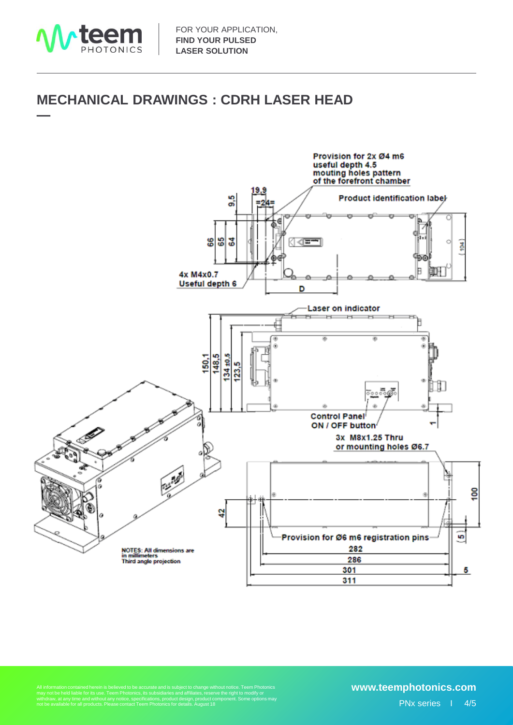

**—**

### **MECHANICAL DRAWINGS : CDRH LASER HEAD**



All information contained herein is believed to be accurate and is subject to change without notice. Teem Photonics<br>may not be held liable for its use. Teem Photonics, its subsidiaries and affiliates, reserve the right to